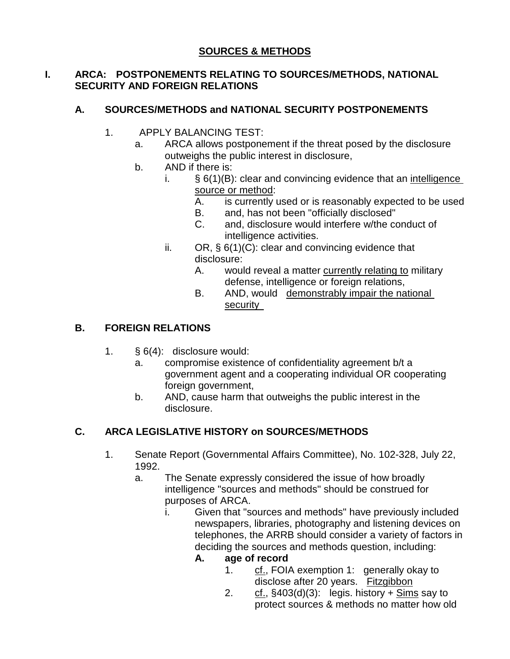#### **I. ARCA: POSTPONEMENTS RELATING TO SOURCES/METHODS, NATIONAL SECURITY AND FOREIGN RELATIONS**

# **A. SOURCES/METHODS and NATIONAL SECURITY POSTPONEMENTS**

- 1. APPLY BALANCING TEST:
	- a. ARCA allows postponement if the threat posed by the disclosure outweighs the public interest in disclosure,
	- b. AND if there is:
		- i.  $\S 6(1)(B)$ : clear and convincing evidence that an intelligence source or method:
			- A. is currently used or is reasonably expected to be used
			- B. and, has not been "officially disclosed"
			- C. and, disclosure would interfere w/the conduct of intelligence activities.
		- ii. OR, § 6(1)(C): clear and convincing evidence that disclosure:
			- A. would reveal a matter currently relating to military defense, intelligence or foreign relations,
			- B. AND, would demonstrably impair the national security

# **B. FOREIGN RELATIONS**

- 1. § 6(4): disclosure would:
	- a. compromise existence of confidentiality agreement b/t a government agent and a cooperating individual OR cooperating foreign government,
	- b. AND, cause harm that outweighs the public interest in the disclosure.

# **C. ARCA LEGISLATIVE HISTORY on SOURCES/METHODS**

- 1. Senate Report (Governmental Affairs Committee), No. 102-328, July 22, 1992.
	- a. The Senate expressly considered the issue of how broadly intelligence "sources and methods" should be construed for purposes of ARCA.
		- i. Given that "sources and methods" have previously included newspapers, libraries, photography and listening devices on telephones, the ARRB should consider a variety of factors in deciding the sources and methods question, including:
			- **A. age of record**
				- 1. cf., FOIA exemption 1: generally okay to disclose after 20 years. Fitzgibbon
				- 2.  $c$  cf., §403(d)(3): legis. history +  $\frac{Sims}{S}$  say to protect sources & methods no matter how old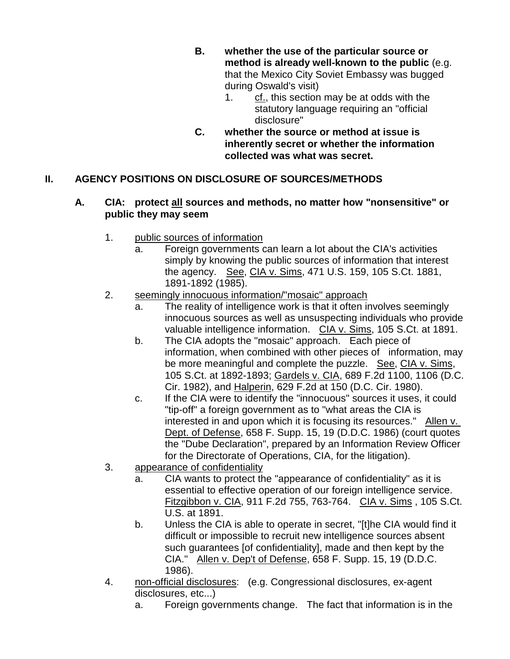- **B. whether the use of the particular source or method is already well-known to the public** (e.g. that the Mexico City Soviet Embassy was bugged during Oswald's visit)
	- 1. cf., this section may be at odds with the statutory language requiring an "official disclosure"
- **C. whether the source or method at issue is inherently secret or whether the information collected was what was secret.**

## **II. AGENCY POSITIONS ON DISCLOSURE OF SOURCES/METHODS**

#### **A. CIA: protect all sources and methods, no matter how "nonsensitive" or public they may seem**

- 1. public sources of information
	- a. Foreign governments can learn a lot about the CIA's activities simply by knowing the public sources of information that interest the agency.See, CIA v. Sims, 471 U.S. 159, 105 S.Ct. 1881, 1891-1892 (1985).

## 2. seemingly innocuous information/"mosaic" approach

- a. The reality of intelligence work is that it often involves seemingly innocuous sources as well as unsuspecting individuals who provide valuable intelligence information. CIA v. Sims, 105 S.Ct. at 1891.
- b. The CIA adopts the "mosaic" approach. Each piece of information, when combined with other pieces of information, may be more meaningful and complete the puzzle. See, CIA v. Sims, 105 S.Ct. at 1892-1893; Gardels v. CIA, 689 F.2d 1100, 1106 (D.C. Cir. 1982), and Halperin, 629 F.2d at 150 (D.C. Cir. 1980).
- c. If the CIA were to identify the "innocuous" sources it uses, it could "tip-off" a foreign government as to "what areas the CIA is interested in and upon which it is focusing its resources." Allen v. Dept. of Defense, 658 F. Supp. 15, 19 (D.D.C. 1986) (court quotes the "Dube Declaration", prepared by an Information Review Officer for the Directorate of Operations, CIA, for the litigation).
- 3. appearance of confidentiality
	- a. CIA wants to protect the "appearance of confidentiality" as it is essential to effective operation of our foreign intelligence service. Fitzgibbon v. CIA, 911 F.2d 755, 763-764. CIA v. Sims , 105 S.Ct. U.S. at 1891.
	- b. Unless the CIA is able to operate in secret, "[t]he CIA would find it difficult or impossible to recruit new intelligence sources absent such guarantees [of confidentiality], made and then kept by the CIA." Allen v. Dep't of Defense, 658 F. Supp. 15, 19 (D.D.C. 1986).
- 4. non-official disclosures: (e.g. Congressional disclosures, ex-agent disclosures, etc...)
	- a. Foreign governments change. The fact that information is in the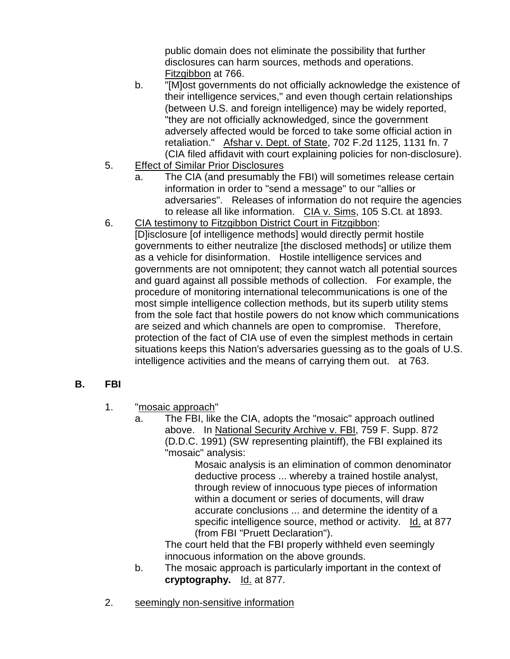public domain does not eliminate the possibility that further disclosures can harm sources, methods and operations. Fitzgibbon at 766.

- b. "[M]ost governments do not officially acknowledge the existence of their intelligence services," and even though certain relationships (between U.S. and foreign intelligence) may be widely reported, "they are not officially acknowledged, since the government adversely affected would be forced to take some official action in retaliation." Afshar v. Dept. of State, 702 F.2d 1125, 1131 fn. 7 (CIA filed affidavit with court explaining policies for non-disclosure).
- 5. Effect of Similar Prior Disclosures
	- a. The CIA (and presumably the FBI) will sometimes release certain information in order to "send a message" to our "allies or adversaries". Releases of information do not require the agencies to release all like information. CIA v. Sims, 105 S.Ct. at 1893.
- 6. CIA testimony to Fitzgibbon District Court in Fitzgibbon: [D]isclosure [of intelligence methods] would directly permit hostile governments to either neutralize [the disclosed methods] or utilize them as a vehicle for disinformation. Hostile intelligence services and governments are not omnipotent; they cannot watch all potential sources and guard against all possible methods of collection. For example, the procedure of monitoring international telecommunications is one of the most simple intelligence collection methods, but its superb utility stems from the sole fact that hostile powers do not know which communications are seized and which channels are open to compromise. Therefore, protection of the fact of CIA use of even the simplest methods in certain situations keeps this Nation's adversaries guessing as to the goals of U.S. intelligence activities and the means of carrying them out. at 763.

## **B. FBI**

- 1. "mosaic approach"
	- a. The FBI, like the CIA, adopts the "mosaic" approach outlined above. In National Security Archive v. FBI, 759 F. Supp. 872 (D.D.C. 1991) (SW representing plaintiff), the FBI explained its "mosaic" analysis:

Mosaic analysis is an elimination of common denominator deductive process ... whereby a trained hostile analyst, through review of innocuous type pieces of information within a document or series of documents, will draw accurate conclusions ... and determine the identity of a specific intelligence source, method or activity. Id. at 877 (from FBI "Pruett Declaration").

The court held that the FBI properly withheld even seemingly innocuous information on the above grounds.

- b. The mosaic approach is particularly important in the context of **cryptography.** Id. at 877.
- 2. seemingly non-sensitive information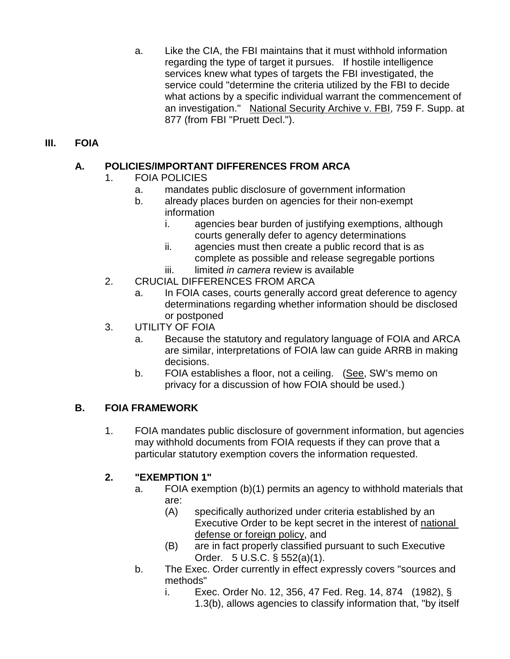a. Like the CIA, the FBI maintains that it must withhold information regarding the type of target it pursues. If hostile intelligence services knew what types of targets the FBI investigated, the service could "determine the criteria utilized by the FBI to decide what actions by a specific individual warrant the commencement of an investigation." National Security Archive v. FBI, 759 F. Supp. at 877 (from FBI "Pruett Decl.").

### **III. FOIA**

### **A. POLICIES/IMPORTANT DIFFERENCES FROM ARCA**

- 1. FOIA POLICIES
	- a. mandates public disclosure of government information
	- b. already places burden on agencies for their non-exempt information
		- i. agencies bear burden of justifying exemptions, although courts generally defer to agency determinations
		- ii. agencies must then create a public record that is as complete as possible and release segregable portions
		- iii. limited *in camera* review is available
- 2. CRUCIAL DIFFERENCES FROM ARCA
	- a. In FOIA cases, courts generally accord great deference to agency determinations regarding whether information should be disclosed or postponed
- 3. UTILITY OF FOIA
	- a. Because the statutory and regulatory language of FOIA and ARCA are similar, interpretations of FOIA law can guide ARRB in making decisions.
	- b. FOIA establishes a floor, not a ceiling. (See, SW's memo on privacy for a discussion of how FOIA should be used.)

#### **B. FOIA FRAMEWORK**

1. FOIA mandates public disclosure of government information, but agencies may withhold documents from FOIA requests if they can prove that a particular statutory exemption covers the information requested.

## **2. "EXEMPTION 1"**

- a. FOIA exemption (b)(1) permits an agency to withhold materials that are:
	- (A) specifically authorized under criteria established by an Executive Order to be kept secret in the interest of national defense or foreign policy, and
	- (B) are in fact properly classified pursuant to such Executive Order. 5 U.S.C. § 552(a)(1).
- b. The Exec. Order currently in effect expressly covers "sources and methods"
	- i. Exec. Order No. 12, 356, 47 Fed. Reg. 14, 874 (1982), § 1.3(b), allows agencies to classify information that, "by itself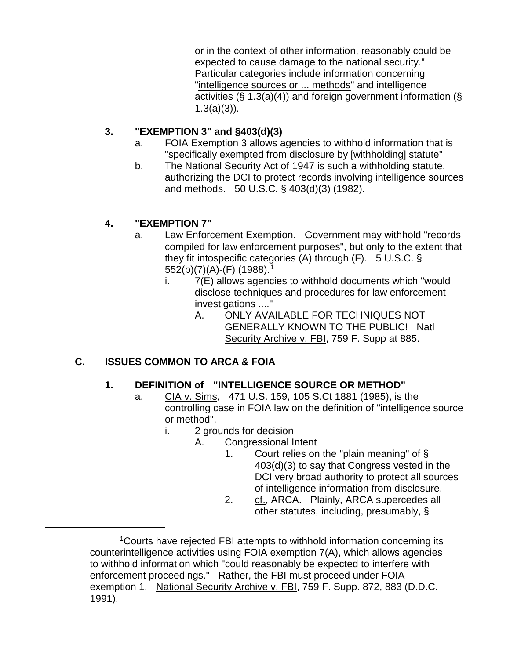or in the context of other information, reasonably could be expected to cause damage to the national security." Particular categories include information concerning "intelligence sources or ... methods" and intelligence activities  $(\S 1.3(a)(4))$  and foreign government information ( $\S$ 1.3(a)(3)).

### **3. "EXEMPTION 3" and §403(d)(3)**

- a. FOIA Exemption 3 allows agencies to withhold information that is "specifically exempted from disclosure by [withholding] statute"
- b. The National Security Act of 1947 is such a withholding statute, authorizing the DCI to protect records involving intelligence sources and methods. 50 U.S.C. § 403(d)(3) (1982).

## **4. "EXEMPTION 7"**

- a. Law Enforcement Exemption. Government may withhold "records compiled for law enforcement purposes", but only to the extent that they fit intospecific categories (A) through (F). 5 U.S.C. § 552(b)(7)(A)-(F) (1988).[1](#page-4-0)
	- i. 7(E) allows agencies to withhold documents which "would disclose techniques and procedures for law enforcement investigations ...."
		- A. ONLY AVAILABLE FOR TECHNIQUES NOT GENERALLY KNOWN TO THE PUBLIC! Natl Security Archive v. FBI, 759 F. Supp at 885.

# **C. ISSUES COMMON TO ARCA & FOIA**

<span id="page-4-0"></span>i<br>I

## **1. DEFINITION of "INTELLIGENCE SOURCE OR METHOD"**

- a. CIA v. Sims, 471 U.S. 159, 105 S.Ct 1881 (1985), is the controlling case in FOIA law on the definition of "intelligence source or method".
	- i. 2 grounds for decision
		- A. Congressional Intent
			- 1. Court relies on the "plain meaning" of § 403(d)(3) to say that Congress vested in the DCI very broad authority to protect all sources of intelligence information from disclosure.
			- 2. cf., ARCA. Plainly, ARCA supercedes all other statutes, including, presumably, §

<sup>1</sup>Courts have rejected FBI attempts to withhold information concerning its counterintelligence activities using FOIA exemption 7(A), which allows agencies to withhold information which "could reasonably be expected to interfere with enforcement proceedings." Rather, the FBI must proceed under FOIA exemption 1. National Security Archive v. FBI, 759 F. Supp. 872, 883 (D.D.C. 1991).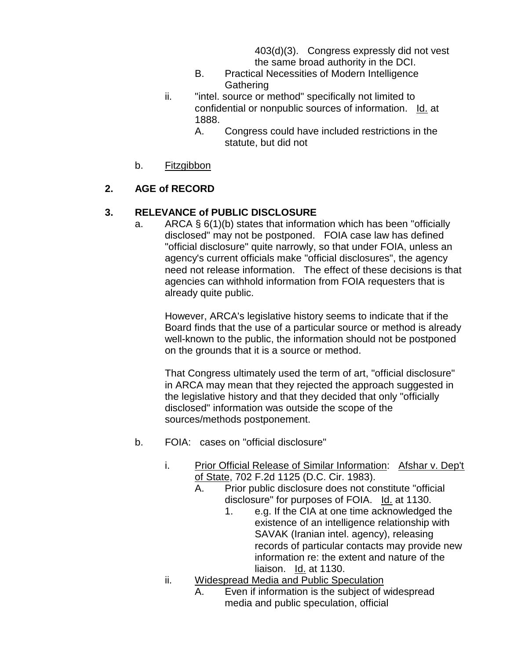403(d)(3). Congress expressly did not vest the same broad authority in the DCI.

- B. Practical Necessities of Modern Intelligence **Gathering**
- ii. "intel. source or method" specifically not limited to confidential or nonpublic sources of information. Id. at 1888.
	- A. Congress could have included restrictions in the statute, but did not
- b. Fitzgibbon

### **2. AGE of RECORD**

#### **3. RELEVANCE of PUBLIC DISCLOSURE**

a. ARCA  $\S 6(1)(b)$  states that information which has been "officially disclosed" may not be postponed. FOIA case law has defined "official disclosure" quite narrowly, so that under FOIA, unless an agency's current officials make "official disclosures", the agency need not release information. The effect of these decisions is that agencies can withhold information from FOIA requesters that is already quite public.

However, ARCA's legislative history seems to indicate that if the Board finds that the use of a particular source or method is already well-known to the public, the information should not be postponed on the grounds that it is a source or method.

That Congress ultimately used the term of art, "official disclosure" in ARCA may mean that they rejected the approach suggested in the legislative history and that they decided that only "officially disclosed" information was outside the scope of the sources/methods postponement.

- b. FOIA: cases on "official disclosure"
	- i. Prior Official Release of Similar Information: Afshar v. Dep't of State, 702 F.2d 1125 (D.C. Cir. 1983).
		- A. Prior public disclosure does not constitute "official disclosure" for purposes of FOIA. Id. at 1130.
			- 1. e.g. If the CIA at one time acknowledged the existence of an intelligence relationship with SAVAK (Iranian intel. agency), releasing records of particular contacts may provide new information re: the extent and nature of the liaison. Id. at 1130.
	- ii. Widespread Media and Public Speculation
		- A. Even if information is the subject of widespread media and public speculation, official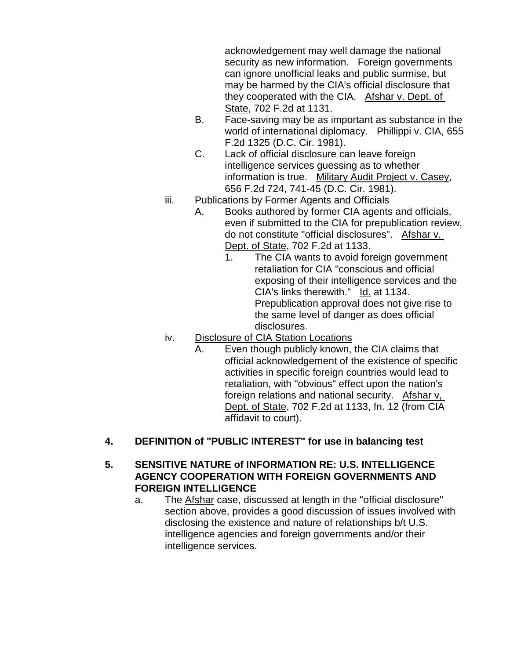acknowledgement may well damage the national security as new information. Foreign governments can ignore unofficial leaks and public surmise, but may be harmed by the CIA's official disclosure that they cooperated with the CIA. Afshar v. Dept. of State, 702 F.2d at 1131.

- B. Face-saving may be as important as substance in the world of international diplomacy. Phillippi v. CIA, 655 F.2d 1325 (D.C. Cir. 1981).
- C. Lack of official disclosure can leave foreign intelligence services guessing as to whether information is true. Military Audit Project v. Casey, 656 F.2d 724, 741-45 (D.C. Cir. 1981).
- iii. Publications by Former Agents and Officials
	- A. Books authored by former CIA agents and officials, even if submitted to the CIA for prepublication review, do not constitute "official disclosures". Afshar v. Dept. of State, 702 F.2d at 1133.
		- 1. The CIA wants to avoid foreign government retaliation for CIA "conscious and official exposing of their intelligence services and the CIA's links therewith." Id. at 1134. Prepublication approval does not give rise to the same level of danger as does official disclosures.
- iv. Disclosure of CIA Station Locations
	- A. Even though publicly known, the CIA claims that official acknowledgement of the existence of specific activities in specific foreign countries would lead to retaliation, with "obvious" effect upon the nation's foreign relations and national security. Afshar v, Dept. of State, 702 F.2d at 1133, fn. 12 (from CIA affidavit to court).
- **4. DEFINITION of "PUBLIC INTEREST" for use in balancing test**

#### **5. SENSITIVE NATURE of INFORMATION RE: U.S. INTELLIGENCE AGENCY COOPERATION WITH FOREIGN GOVERNMENTS AND FOREIGN INTELLIGENCE**

a. The Afshar case, discussed at length in the "official disclosure" section above, provides a good discussion of issues involved with disclosing the existence and nature of relationships b/t U.S. intelligence agencies and foreign governments and/or their intelligence services.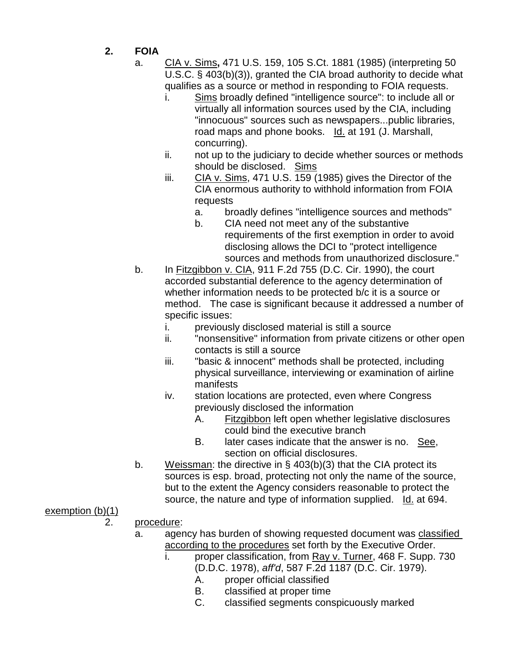- **2. FOIA**
	- a. CIA v. Sims**,** 471 U.S. 159, 105 S.Ct. 1881 (1985) (interpreting 50 U.S.C. § 403(b)(3)), granted the CIA broad authority to decide what qualifies as a source or method in responding to FOIA requests.
		- i. Sims broadly defined "intelligence source": to include all or virtually all information sources used by the CIA, including "innocuous" sources such as newspapers...public libraries, road maps and phone books. Id. at 191 (J. Marshall, concurring).
		- ii. not up to the judiciary to decide whether sources or methods should be disclosed. Sims
		- iii. CIA v. Sims, 471 U.S. 159 (1985) gives the Director of the CIA enormous authority to withhold information from FOIA requests
			- a. broadly defines "intelligence sources and methods"
			- b. CIA need not meet any of the substantive requirements of the first exemption in order to avoid disclosing allows the DCI to "protect intelligence sources and methods from unauthorized disclosure."
	- b. In Fitzgibbon v. CIA, 911 F.2d 755 (D.C. Cir. 1990), the court accorded substantial deference to the agency determination of whether information needs to be protected b/c it is a source or method. The case is significant because it addressed a number of specific issues:
		- i. previously disclosed material is still a source
		- ii. "nonsensitive" information from private citizens or other open contacts is still a source
		- iii. "basic & innocent" methods shall be protected, including physical surveillance, interviewing or examination of airline manifests
		- iv. station locations are protected, even where Congress previously disclosed the information
			- A. Fitzgibbon left open whether legislative disclosures could bind the executive branch
			- B. later cases indicate that the answer is no. See, section on official disclosures.
	- b. Weissman: the directive in § 403(b)(3) that the CIA protect its sources is esp. broad, protecting not only the name of the source, but to the extent the Agency considers reasonable to protect the source, the nature and type of information supplied. Id. at 694.

## exemption (b)(1)

- 2. procedure:
	- a. agency has burden of showing requested document was classified according to the procedures set forth by the Executive Order.
		- i. proper classification, from Ray v. Turner, 468 F. Supp. 730 (D.D.C. 1978), *aff'd*, 587 F.2d 1187 (D.C. Cir. 1979).
			- A. proper official classified
			- B. classified at proper time
			- C. classified segments conspicuously marked